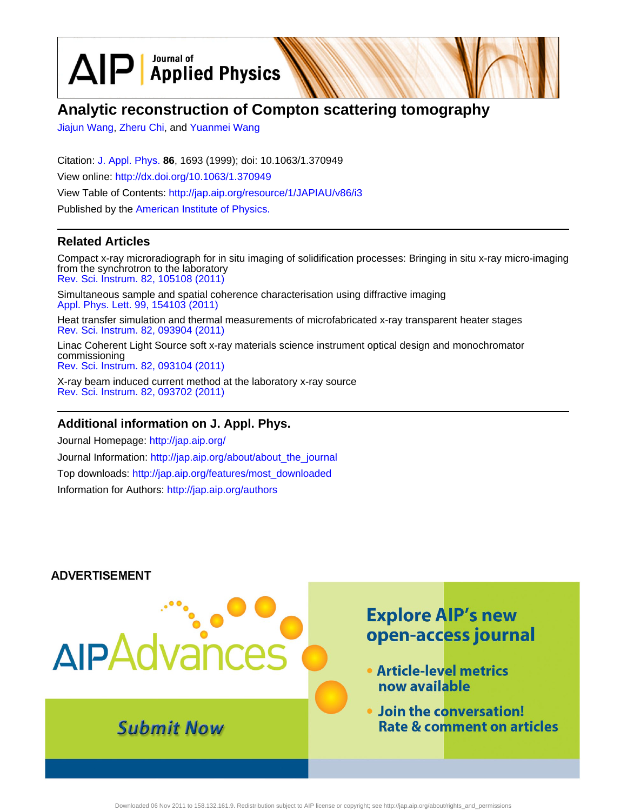$\text{AP}$  Applied Physics

# **Analytic reconstruction of Compton scattering tomography**

[Jiajun Wang](http://jap.aip.org/search?sortby=newestdate&q=&searchzone=2&searchtype=searchin&faceted=faceted&key=AIP_ALL&possible1=Jiajun Wang&possible1zone=author&alias=&displayid=AIP&ver=pdfcov), [Zheru Chi](http://jap.aip.org/search?sortby=newestdate&q=&searchzone=2&searchtype=searchin&faceted=faceted&key=AIP_ALL&possible1=Zheru Chi&possible1zone=author&alias=&displayid=AIP&ver=pdfcov), and [Yuanmei Wang](http://jap.aip.org/search?sortby=newestdate&q=&searchzone=2&searchtype=searchin&faceted=faceted&key=AIP_ALL&possible1=Yuanmei Wang&possible1zone=author&alias=&displayid=AIP&ver=pdfcov)

Citation: [J. Appl. Phys.](http://jap.aip.org/?ver=pdfcov) **86**, 1693 (1999); doi: 10.1063/1.370949 View online: [http://dx.doi.org/10.1063/1.370949](http://link.aip.org/link/doi/10.1063/1.370949?ver=pdfcov) View Table of Contents: [http://jap.aip.org/resource/1/JAPIAU/v86/i3](http://jap.aip.org/resource/1/JAPIAU/v86/i3?ver=pdfcov) Published by the [American Institute of Physics.](http://www.aip.org/?ver=pdfcov)

## **Related Articles**

Compact x-ray microradiograph for in situ imaging of solidification processes: Bringing in situ x-ray micro-imaging from the synchrotron to the laboratory [Rev. Sci. Instrum. 82, 105108 \(2011\)](http://link.aip.org/link/doi/10.1063/1.3650468?ver=pdfcov)

Simultaneous sample and spatial coherence characterisation using diffractive imaging [Appl. Phys. Lett. 99, 154103 \(2011\)](http://link.aip.org/link/doi/10.1063/1.3650265?ver=pdfcov)

Heat transfer simulation and thermal measurements of microfabricated x-ray transparent heater stages [Rev. Sci. Instrum. 82, 093904 \(2011\)](http://link.aip.org/link/doi/10.1063/1.3640407?ver=pdfcov)

Linac Coherent Light Source soft x-ray materials science instrument optical design and monochromator commissioning [Rev. Sci. Instrum. 82, 093104 \(2011\)](http://link.aip.org/link/doi/10.1063/1.3633947?ver=pdfcov)

X-ray beam induced current method at the laboratory x-ray source [Rev. Sci. Instrum. 82, 093702 \(2011\)](http://link.aip.org/link/doi/10.1063/1.3633948?ver=pdfcov)

### **Additional information on J. Appl. Phys.**

Journal Homepage: [http://jap.aip.org/](http://jap.aip.org/?ver=pdfcov) Journal Information: [http://jap.aip.org/about/about\\_the\\_journal](http://jap.aip.org/about/about_the_journal?ver=pdfcov) Top downloads: [http://jap.aip.org/features/most\\_downloaded](http://jap.aip.org/features/most_downloaded?ver=pdfcov) Information for Authors: [http://jap.aip.org/authors](http://jap.aip.org/authors?ver=pdfcov)

### **ADVERTISEMENT**

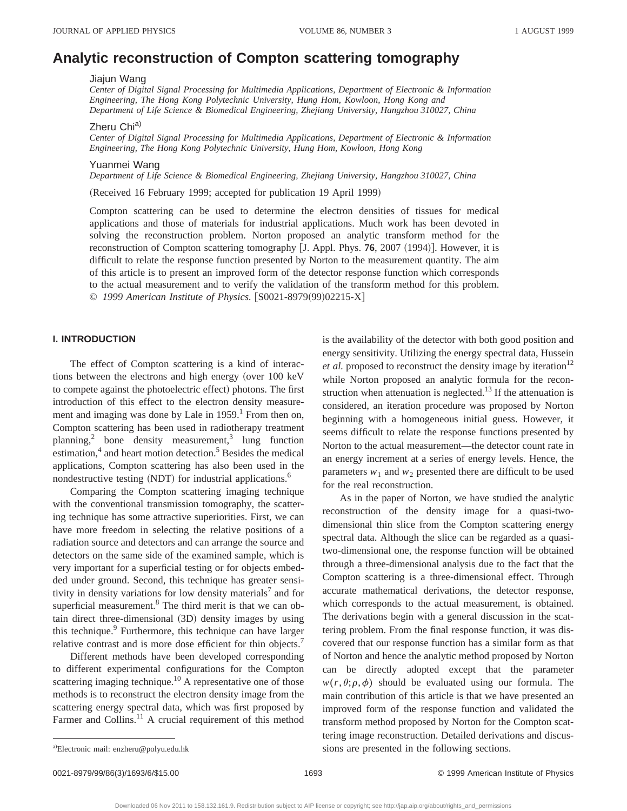# **Analytic reconstruction of Compton scattering tomography**

Jiajun Wang

*Center of Digital Signal Processing for Multimedia Applications, Department of Electronic & Information Engineering, The Hong Kong Polytechnic University, Hung Hom, Kowloon, Hong Kong and Department of Life Science & Biomedical Engineering, Zhejiang University, Hangzhou 310027, China*

Zheru Chi<sup>a)</sup>

*Center of Digital Signal Processing for Multimedia Applications, Department of Electronic & Information Engineering, The Hong Kong Polytechnic University, Hung Hom, Kowloon, Hong Kong*

Yuanmei Wang

*Department of Life Science & Biomedical Engineering, Zhejiang University, Hangzhou 310027, China*

(Received 16 February 1999; accepted for publication 19 April 1999)

Compton scattering can be used to determine the electron densities of tissues for medical applications and those of materials for industrial applications. Much work has been devoted in solving the reconstruction problem. Norton proposed an analytic transform method for the reconstruction of Compton scattering tomography [J. Appl. Phys. **76**, 2007 (1994)]. However, it is difficult to relate the response function presented by Norton to the measurement quantity. The aim of this article is to present an improved form of the detector response function which corresponds to the actual measurement and to verify the validation of the transform method for this problem. © 1999 American Institute of Physics. [S0021-8979(99)02215-X]

#### **I. INTRODUCTION**

The effect of Compton scattering is a kind of interactions between the electrons and high energy (over 100 keV to compete against the photoelectric effect) photons. The first introduction of this effect to the electron density measurement and imaging was done by Lale in  $1959<sup>1</sup>$  From then on, Compton scattering has been used in radiotherapy treatment planning,<sup>2</sup> bone density measurement,<sup>3</sup> lung function estimation,<sup>4</sup> and heart motion detection.<sup>5</sup> Besides the medical applications, Compton scattering has also been used in the nondestructive testing  $(NDT)$  for industrial applications.<sup>6</sup>

Comparing the Compton scattering imaging technique with the conventional transmission tomography, the scattering technique has some attractive superiorities. First, we can have more freedom in selecting the relative positions of a radiation source and detectors and can arrange the source and detectors on the same side of the examined sample, which is very important for a superficial testing or for objects embedded under ground. Second, this technique has greater sensitivity in density variations for low density materials<sup>7</sup> and for superficial measurement.<sup>8</sup> The third merit is that we can obtain direct three-dimensional (3D) density images by using this technique.<sup>9</sup> Furthermore, this technique can have larger relative contrast and is more dose efficient for thin objects.<sup>7</sup>

Different methods have been developed corresponding to different experimental configurations for the Compton scattering imaging technique.<sup>10</sup> A representative one of those methods is to reconstruct the electron density image from the scattering energy spectral data, which was first proposed by Farmer and Collins.<sup>11</sup> A crucial requirement of this method

is the availability of the detector with both good position and energy sensitivity. Utilizing the energy spectral data, Hussein *et al.* proposed to reconstruct the density image by iteration<sup>12</sup> while Norton proposed an analytic formula for the reconstruction when attenuation is neglected.<sup>13</sup> If the attenuation is considered, an iteration procedure was proposed by Norton beginning with a homogeneous initial guess. However, it seems difficult to relate the response functions presented by Norton to the actual measurement—the detector count rate in an energy increment at a series of energy levels. Hence, the parameters  $w_1$  and  $w_2$  presented there are difficult to be used for the real reconstruction.

As in the paper of Norton, we have studied the analytic reconstruction of the density image for a quasi-twodimensional thin slice from the Compton scattering energy spectral data. Although the slice can be regarded as a quasitwo-dimensional one, the response function will be obtained through a three-dimensional analysis due to the fact that the Compton scattering is a three-dimensional effect. Through accurate mathematical derivations, the detector response, which corresponds to the actual measurement, is obtained. The derivations begin with a general discussion in the scattering problem. From the final response function, it was discovered that our response function has a similar form as that of Norton and hence the analytic method proposed by Norton can be directly adopted except that the parameter  $w(r, \theta; \rho, \phi)$  should be evaluated using our formula. The main contribution of this article is that we have presented an improved form of the response function and validated the transform method proposed by Norton for the Compton scattering image reconstruction. Detailed derivations and discussions are presented in the following sections.

a)Electronic mail: enzheru@polyu.edu.hk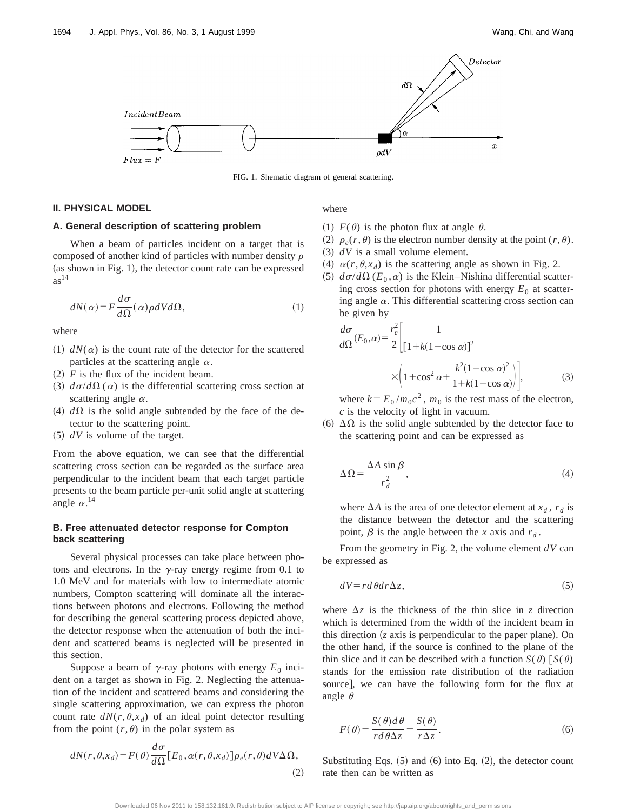

FIG. 1. Shematic diagram of general scattering.

#### **II. PHYSICAL MODEL**

#### **A. General description of scattering problem**

When a beam of particles incident on a target that is composed of another kind of particles with number density  $\rho$ (as shown in Fig. 1), the detector count rate can be expressed  $as<sup>14</sup>$ 

$$
dN(\alpha) = F \frac{d\sigma}{d\Omega}(\alpha) \rho dV d\Omega, \qquad (1)
$$

where

- $(1)$   $dN(\alpha)$  is the count rate of the detector for the scattered particles at the scattering angle  $\alpha$ .
- $(2)$  *F* is the flux of the incident beam.
- $\sigma/d\Omega(\alpha)$  is the differential scattering cross section at scattering angle  $\alpha$ .
- (4)  $d\Omega$  is the solid angle subtended by the face of the detector to the scattering point.
- $(5)$  *dV* is volume of the target.

From the above equation, we can see that the differential scattering cross section can be regarded as the surface area perpendicular to the incident beam that each target particle presents to the beam particle per-unit solid angle at scattering angle  $\alpha$ .<sup>14</sup>

#### **B. Free attenuated detector response for Compton back scattering**

Several physical processes can take place between photons and electrons. In the  $\gamma$ -ray energy regime from 0.1 to 1.0 MeV and for materials with low to intermediate atomic numbers, Compton scattering will dominate all the interactions between photons and electrons. Following the method for describing the general scattering process depicted above, the detector response when the attenuation of both the incident and scattered beams is neglected will be presented in this section.

Suppose a beam of  $\gamma$ -ray photons with energy  $E_0$  incident on a target as shown in Fig. 2. Neglecting the attenuation of the incident and scattered beams and considering the single scattering approximation, we can express the photon count rate  $dN(r, \theta, x_d)$  of an ideal point detector resulting from the point  $(r, \theta)$  in the polar system as

$$
dN(r, \theta, x_d) = F(\theta) \frac{d\sigma}{d\Omega} [E_0, \alpha(r, \theta, x_d)] \rho_e(r, \theta) dV \Delta \Omega,
$$
\n(2)

where

- (1)  $F(\theta)$  is the photon flux at angle  $\theta$ .
- (2)  $\rho_e(r,\theta)$  is the electron number density at the point  $(r,\theta)$ .
- $(3)$   $dV$  is a small volume element.
- $(4)$   $\alpha(r,\theta,x_d)$  is the scattering angle as shown in Fig. 2.
- $(5)$   $d\sigma/d\Omega$  ( $E_0$ , $\alpha$ ) is the Klein–Nishina differential scattering cross section for photons with energy  $E_0$  at scattering angle  $\alpha$ . This differential scattering cross section can be given by

$$
\frac{d\sigma}{d\Omega}(E_0, \alpha) = \frac{r_e^2}{2} \left[ \frac{1}{\left[1 + k(1 - \cos \alpha)\right]^2} \times \left(1 + \cos^2 \alpha + \frac{k^2(1 - \cos \alpha)^2}{1 + k(1 - \cos \alpha)}\right)\right],\tag{3}
$$

where  $k = E_0 / m_0 c^2$ ,  $m_0$  is the rest mass of the electron, *c* is the velocity of light in vacuum.

(6)  $\Delta\Omega$  is the solid angle subtended by the detector face to the scattering point and can be expressed as

$$
\Delta \Omega = \frac{\Delta A \sin \beta}{r_d^2},\tag{4}
$$

where  $\Delta A$  is the area of one detector element at  $x_d$ ,  $r_d$  is the distance between the detector and the scattering point,  $\beta$  is the angle between the *x* axis and  $r<sub>d</sub>$ .

From the geometry in Fig. 2, the volume element *dV* can be expressed as

$$
dV = r d\theta dr \Delta z, \tag{5}
$$

where  $\Delta z$  is the thickness of the thin slice in *z* direction which is determined from the width of the incident beam in this direction  $(z$  axis is perpendicular to the paper plane). On the other hand, if the source is confined to the plane of the thin slice and it can be described with a function  $S(\theta)$   $S(\theta)$ stands for the emission rate distribution of the radiation source], we can have the following form for the flux at angle  $\theta$ 

$$
F(\theta) = \frac{S(\theta)d\theta}{rd\theta\Delta z} = \frac{S(\theta)}{r\Delta z}.
$$
 (6)

Substituting Eqs.  $(5)$  and  $(6)$  into Eq.  $(2)$ , the detector count rate then can be written as

Downloaded 06 Nov 2011 to 158.132.161.9. Redistribution subject to AIP license or copyright; see http://jap.aip.org/about/rights\_and\_permissions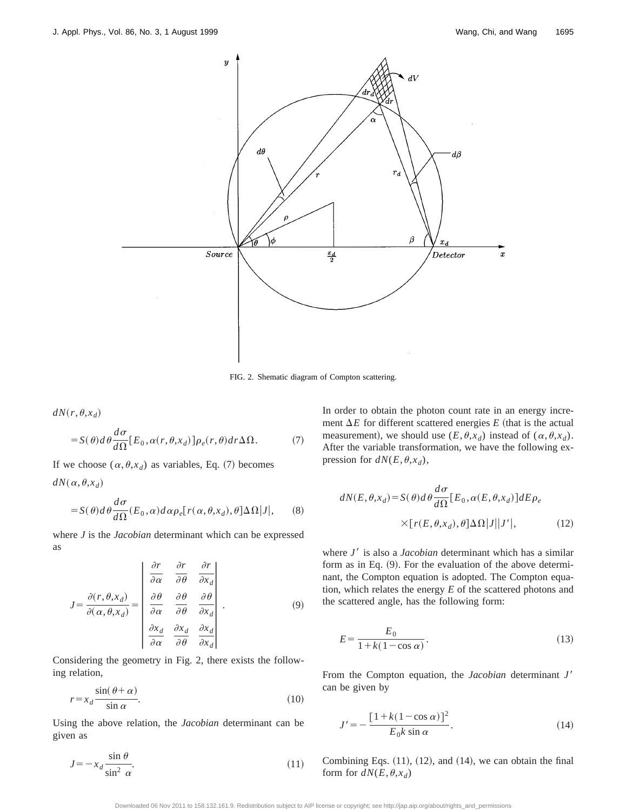

FIG. 2. Shematic diagram of Compton scattering.

$$
dN(r,\theta,x_d)
$$

$$
= S(\theta) d\theta \frac{d\sigma}{d\Omega} [E_0, \alpha(r, \theta, x_d)] \rho_e(r, \theta) dr \Delta \Omega.
$$
 (7)

If we choose  $(\alpha, \theta, x_d)$  as variables, Eq. (7) becomes  $dN(\alpha, \theta, x_d)$ 

$$
= S(\theta) d\theta \frac{d\sigma}{d\Omega}(E_0, \alpha) d\alpha \rho_e[r(\alpha, \theta, x_d), \theta] \Delta\Omega |J|, \qquad (8)
$$

where *J* is the *Jacobian* determinant which can be expressed as

$$
J = \frac{\partial(r, \theta, x_d)}{\partial(\alpha, \theta, x_d)} = \begin{vmatrix} \frac{\partial r}{\partial \alpha} & \frac{\partial r}{\partial \theta} & \frac{\partial r}{\partial x_d} \\ \frac{\partial \theta}{\partial \alpha} & \frac{\partial \theta}{\partial \theta} & \frac{\partial \theta}{\partial x_d} \\ \frac{\partial x_d}{\partial \alpha} & \frac{\partial x_d}{\partial \theta} & \frac{\partial x_d}{\partial x_d} \end{vmatrix} .
$$
 (9)

Considering the geometry in Fig. 2, there exists the following relation,

$$
r = x_d \frac{\sin(\theta + \alpha)}{\sin \alpha}.
$$
 (10)

Using the above relation, the *Jacobian* determinant can be given as

$$
J = -x_d \frac{\sin \theta}{\sin^2 \alpha}.
$$
 (11)

In order to obtain the photon count rate in an energy increment  $\Delta E$  for different scattered energies  $E$  (that is the actual measurement), we should use  $(E, \theta, x_d)$  instead of  $(\alpha, \theta, x_d)$ . After the variable transformation, we have the following expression for  $dN(E, \theta, x_d)$ ,

$$
dN(E, \theta, x_d) = S(\theta) d\theta \frac{d\sigma}{d\Omega} [E_0, \alpha(E, \theta, x_d)] dE \rho_e
$$
  
 
$$
\times [r(E, \theta, x_d), \theta] \Delta \Omega |J||J'|,
$$
 (12)

where *J'* is also a *Jacobian* determinant which has a similar form as in Eq.  $(9)$ . For the evaluation of the above determinant, the Compton equation is adopted. The Compton equation, which relates the energy *E* of the scattered photons and the scattered angle, has the following form:

$$
E = \frac{E_0}{1 + k(1 - \cos \alpha)}.\tag{13}
$$

From the Compton equation, the *Jacobian* determinant *J'* can be given by

$$
J' = -\frac{\left[1 + k(1 - \cos \alpha)\right]^2}{E_0 k \sin \alpha}.
$$
\n(14)

Combining Eqs.  $(11)$ ,  $(12)$ , and  $(14)$ , we can obtain the final form for  $dN(E, \theta, x_d)$ 

Downloaded 06 Nov 2011 to 158.132.161.9. Redistribution subject to AIP license or copyright; see http://jap.aip.org/about/rights\_and\_permissions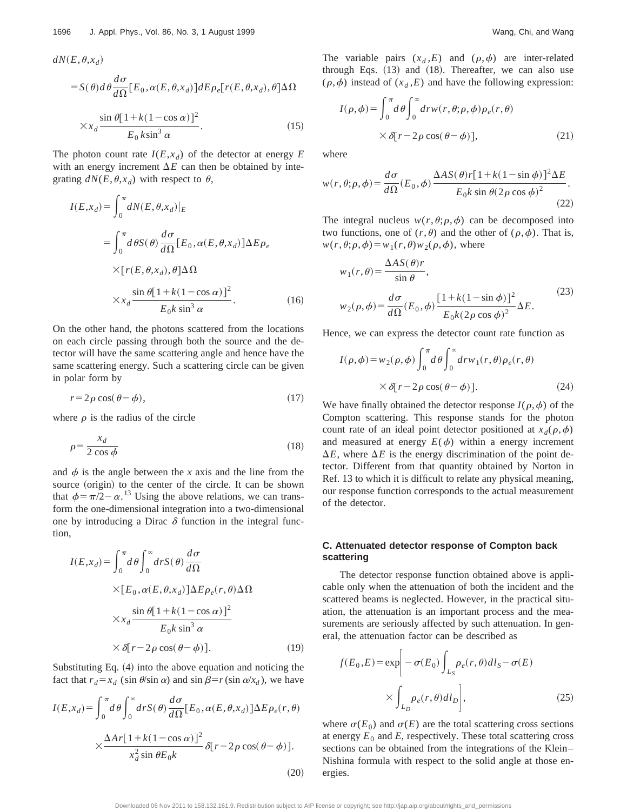$$
dN(E, \theta, x_d)
$$
  
=  $S(\theta) d\theta \frac{d\sigma}{d\Omega} [E_0, \alpha(E, \theta, x_d)] dE \rho_e [r(E, \theta, x_d), \theta] \Delta \Omega$   
 $\times x_d \frac{\sin \theta [1 + k(1 - \cos \alpha)]^2}{E_0 k \sin^3 \alpha}$ . (15)

The photon count rate  $I(E, x_d)$  of the detector at energy *E* with an energy increment  $\Delta E$  can then be obtained by integrating  $dN(E, \theta, x_d)$  with respect to  $\theta$ ,

$$
I(E, x_d) = \int_0^{\pi} dN(E, \theta, x_d)|_E
$$
  
= 
$$
\int_0^{\pi} d\theta S(\theta) \frac{d\sigma}{d\Omega} [E_0, \alpha(E, \theta, x_d)] \Delta E \rho_e
$$
  

$$
\times [r(E, \theta, x_d), \theta] \Delta \Omega
$$
  

$$
\times x_d \frac{\sin \theta [1 + k(1 - \cos \alpha)]^2}{E_0 k \sin^3 \alpha}.
$$
 (16)

On the other hand, the photons scattered from the locations on each circle passing through both the source and the detector will have the same scattering angle and hence have the same scattering energy. Such a scattering circle can be given in polar form by

$$
r = 2\rho \cos(\theta - \phi),\tag{17}
$$

where  $\rho$  is the radius of the circle

$$
\rho = \frac{x_d}{2 \cos \phi} \tag{18}
$$

and  $\phi$  is the angle between the *x* axis and the line from the source (origin) to the center of the circle. It can be shown that  $\phi = \pi/2 - \alpha$ .<sup>13</sup> Using the above relations, we can transform the one-dimensional integration into a two-dimensional one by introducing a Dirac  $\delta$  function in the integral function,

$$
I(E, x_d) = \int_0^{\pi} d\theta \int_0^{\infty} dr S(\theta) \frac{d\sigma}{d\Omega}
$$
  
×[ $E_0$ ,  $\alpha$ ( $E$ ,  $\theta$ ,  $x_d$ )] $\Delta E \rho_e$ ( $r$ ,  $\theta$ ) $\Delta \Omega$   
× $x_d \frac{\sin \theta [1 + k(1 - \cos \alpha)]^2}{E_0 k \sin^3 \alpha}$   
× $\delta[r - 2\rho \cos(\theta - \phi)].$  (19)

Substituting Eq.  $(4)$  into the above equation and noticing the fact that  $r_d = x_d$  (sin  $\theta/\sin \alpha$ ) and  $\sin \beta = r(\sin \alpha/x_d)$ , we have

$$
I(E, x_d) = \int_0^{\pi} d\theta \int_0^{\infty} dr S(\theta) \frac{d\sigma}{d\Omega} [E_0, \alpha(E, \theta, x_d)] \Delta E \rho_e(r, \theta)
$$

$$
\times \frac{\Delta Ar [1 + k(1 - \cos \alpha)]^2}{x_d^2 \sin \theta E_0 k} \delta[r - 2\rho \cos(\theta - \phi)].
$$
\n(20)

The variable pairs  $(x_d, E)$  and  $(\rho, \phi)$  are inter-related through Eqs.  $(13)$  and  $(18)$ . Thereafter, we can also use  $(\rho, \phi)$  instead of  $(x_d, E)$  and have the following expression:

$$
I(\rho,\phi) = \int_0^{\pi} d\theta \int_0^{\infty} dr w(r,\theta;\rho,\phi) \rho_e(r,\theta)
$$
  
 
$$
\times \delta[r-2\rho\cos(\theta-\phi)], \qquad (21)
$$

where

$$
w(r, \theta; \rho, \phi) = \frac{d\sigma}{d\Omega}(E_0, \phi) \frac{\Delta AS(\theta)r[1 + k(1 - \sin\phi)]^2 \Delta E}{E_0 k \sin\theta (2\rho \cos\phi)^2}.
$$
\n(22)

The integral nucleus  $w(r, \theta; \rho, \phi)$  can be decomposed into two functions, one of  $(r, \theta)$  and the other of  $(\rho, \phi)$ . That is,  $w(r, \theta; \rho, \phi) = w_1(r, \theta) w_2(\rho, \phi)$ , where

$$
w_1(r,\theta) = \frac{\Delta AS(\theta)r}{\sin \theta},
$$
  

$$
w_2(\rho,\phi) = \frac{d\sigma}{d\Omega}(E_0,\phi) \frac{[1 + k(1 - \sin \phi)]^2}{E_0k(2\rho \cos \phi)^2} \Delta E.
$$
 (23)

Hence, we can express the detector count rate function as

$$
I(\rho, \phi) = w_2(\rho, \phi) \int_0^{\pi} d\theta \int_0^{\infty} dr w_1(r, \theta) \rho_e(r, \theta)
$$
  
 
$$
\times \delta[r - 2\rho \cos(\theta - \phi)]. \tag{24}
$$

We have finally obtained the detector response  $I(\rho, \phi)$  of the Compton scattering. This response stands for the photon count rate of an ideal point detector positioned at  $x_d(\rho, \phi)$ and measured at energy  $E(\phi)$  within a energy increment  $\Delta E$ , where  $\Delta E$  is the energy discrimination of the point detector. Different from that quantity obtained by Norton in Ref. 13 to which it is difficult to relate any physical meaning, our response function corresponds to the actual measurement of the detector.

#### **C. Attenuated detector response of Compton back scattering**

The detector response function obtained above is applicable only when the attenuation of both the incident and the scattered beams is neglected. However, in the practical situation, the attenuation is an important process and the measurements are seriously affected by such attenuation. In general, the attenuation factor can be described as

$$
f(E_0, E) = \exp\bigg[-\sigma(E_0) \int_{L_S} \rho_e(r, \theta) dl_S - \sigma(E)
$$

$$
\times \int_{L_D} \rho_e(r, \theta) dl_D \bigg],
$$
(25)

where  $\sigma(E_0)$  and  $\sigma(E)$  are the total scattering cross sections at energy  $E_0$  and  $E$ , respectively. These total scattering cross sections can be obtained from the integrations of the Klein– Nishina formula with respect to the solid angle at those energies.

Downloaded 06 Nov 2011 to 158.132.161.9. Redistribution subject to AIP license or copyright; see http://jap.aip.org/about/rights\_and\_permissions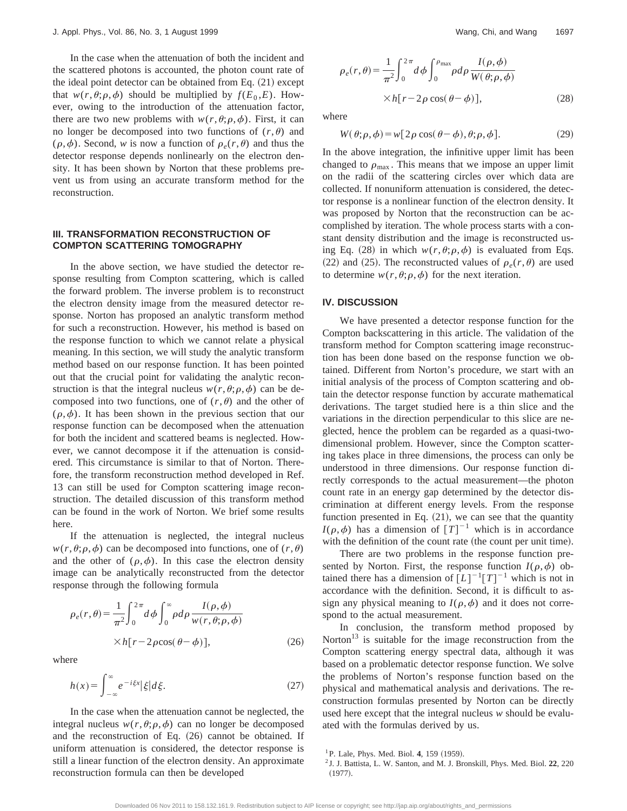In the case when the attenuation of both the incident and the scattered photons is accounted, the photon count rate of the ideal point detector can be obtained from Eq.  $(21)$  except that  $w(r, \theta; \rho, \phi)$  should be multiplied by  $f(E_0, E)$ . However, owing to the introduction of the attenuation factor, there are two new problems with  $w(r, \theta; \rho, \phi)$ . First, it can no longer be decomposed into two functions of  $(r, \theta)$  and  $(\rho, \phi)$ . Second, *w* is now a function of  $\rho_e(r, \theta)$  and thus the detector response depends nonlinearly on the electron density. It has been shown by Norton that these problems prevent us from using an accurate transform method for the reconstruction.

#### **III. TRANSFORMATION RECONSTRUCTION OF COMPTON SCATTERING TOMOGRAPHY**

In the above section, we have studied the detector response resulting from Compton scattering, which is called the forward problem. The inverse problem is to reconstruct the electron density image from the measured detector response. Norton has proposed an analytic transform method for such a reconstruction. However, his method is based on the response function to which we cannot relate a physical meaning. In this section, we will study the analytic transform method based on our response function. It has been pointed out that the crucial point for validating the analytic reconstruction is that the integral nucleus  $w(r, \theta; \rho, \phi)$  can be decomposed into two functions, one of  $(r, \theta)$  and the other of  $(\rho,\phi)$ . It has been shown in the previous section that our response function can be decomposed when the attenuation for both the incident and scattered beams is neglected. However, we cannot decompose it if the attenuation is considered. This circumstance is similar to that of Norton. Therefore, the transform reconstruction method developed in Ref. 13 can still be used for Compton scattering image reconstruction. The detailed discussion of this transform method can be found in the work of Norton. We brief some results here.

If the attenuation is neglected, the integral nucleus  $w(r, \theta; \rho, \phi)$  can be decomposed into functions, one of  $(r, \theta)$ and the other of  $(\rho, \phi)$ . In this case the electron density image can be analytically reconstructed from the detector response through the following formula

$$
\rho_e(r,\theta) = \frac{1}{\pi^2} \int_0^{2\pi} d\phi \int_0^{\infty} \rho d\rho \frac{I(\rho,\phi)}{w(r,\theta;\rho,\phi)}
$$

$$
\times h[r - 2\rho\cos(\theta - \phi)], \qquad (26)
$$

where

$$
h(x) = \int_{-\infty}^{\infty} e^{-i\xi x} |\xi| d\xi.
$$
 (27)

In the case when the attenuation cannot be neglected, the integral nucleus  $w(r, \theta; \rho, \phi)$  can no longer be decomposed and the reconstruction of Eq.  $(26)$  cannot be obtained. If uniform attenuation is considered, the detector response is still a linear function of the electron density. An approximate reconstruction formula can then be developed

$$
\rho_e(r,\theta) = \frac{1}{\pi^2} \int_0^{2\pi} d\phi \int_0^{\rho_{\text{max}}} \rho d\rho \frac{I(\rho,\phi)}{W(\theta;\rho,\phi)}
$$

$$
\times h[r - 2\rho \cos(\theta - \phi)], \tag{28}
$$

where

$$
W(\theta; \rho, \phi) = w[2\rho \cos(\theta - \phi), \theta; \rho, \phi].
$$
 (29)

In the above integration, the infinitive upper limit has been changed to  $\rho_{\text{max}}$ . This means that we impose an upper limit on the radii of the scattering circles over which data are collected. If nonuniform attenuation is considered, the detector response is a nonlinear function of the electron density. It was proposed by Norton that the reconstruction can be accomplished by iteration. The whole process starts with a constant density distribution and the image is reconstructed using Eq. (28) in which  $w(r, \theta; \rho, \phi)$  is evaluated from Eqs. (22) and (25). The reconstructed values of  $\rho_e(r,\theta)$  are used to determine  $w(r, \theta; \rho, \phi)$  for the next iteration.

#### **IV. DISCUSSION**

We have presented a detector response function for the Compton backscattering in this article. The validation of the transform method for Compton scattering image reconstruction has been done based on the response function we obtained. Different from Norton's procedure, we start with an initial analysis of the process of Compton scattering and obtain the detector response function by accurate mathematical derivations. The target studied here is a thin slice and the variations in the direction perpendicular to this slice are neglected, hence the problem can be regarded as a quasi-twodimensional problem. However, since the Compton scattering takes place in three dimensions, the process can only be understood in three dimensions. Our response function directly corresponds to the actual measurement—the photon count rate in an energy gap determined by the detector discrimination at different energy levels. From the response function presented in Eq.  $(21)$ , we can see that the quantity  $I(\rho,\phi)$  has a dimension of  $[T]^{-1}$  which is in accordance with the definition of the count rate (the count per unit time).

There are two problems in the response function presented by Norton. First, the response function  $I(\rho,\phi)$  obtained there has a dimension of  $[L]^{-1}[T]^{-1}$  which is not in accordance with the definition. Second, it is difficult to assign any physical meaning to  $I(\rho, \phi)$  and it does not correspond to the actual measurement.

In conclusion, the transform method proposed by Norton $13$  is suitable for the image reconstruction from the Compton scattering energy spectral data, although it was based on a problematic detector response function. We solve the problems of Norton's response function based on the physical and mathematical analysis and derivations. The reconstruction formulas presented by Norton can be directly used here except that the integral nucleus *w* should be evaluated with the formulas derived by us.

<sup>&</sup>lt;sup>1</sup>P. Lale, Phys. Med. Biol. 4, 159 (1959).

<sup>2</sup> J. J. Battista, L. W. Santon, and M. J. Bronskill, Phys. Med. Biol. **22**, 220  $(1977).$